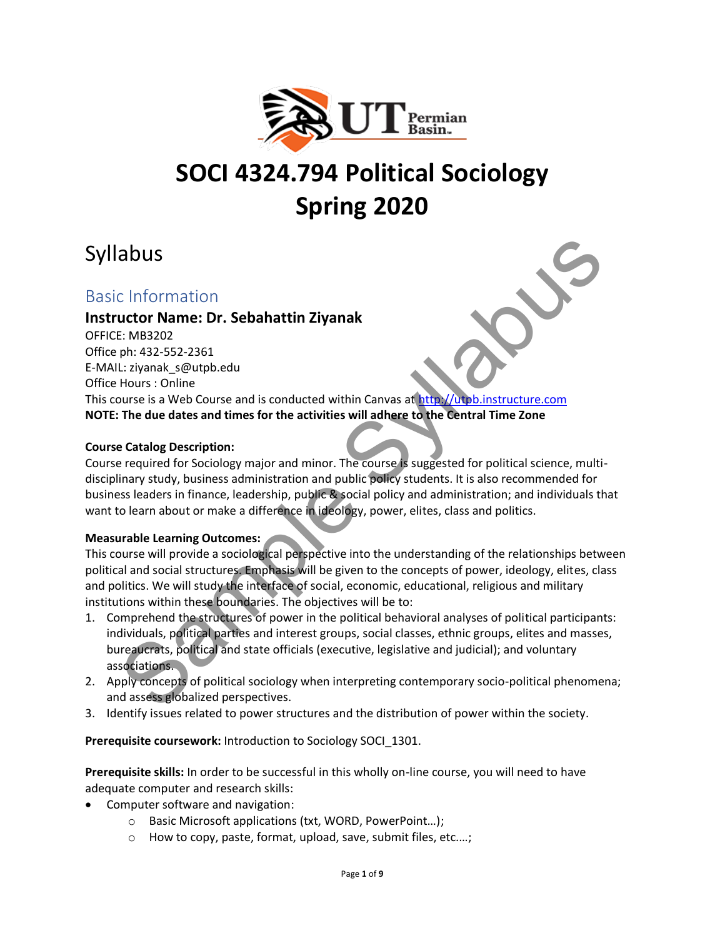

# **SOCI 4324.794 Political Sociology Spring 2020**

# Syllabus

# Basic Information

# **Instructor Name: Dr. Sebahattin Ziyanak**

OFFICE: MB3202 Office ph: 432-552-2361 E-MAIL: ziyanak\_s@utpb.edu Office Hours : Online This course is a Web Course and is conducted within Canvas at http://utpb.instructure.com **NOTE: The due dates and times for the activities will adhere to the Central Time Zone** a bussel<br>
Let the Sample S[ylla](http://utpb.instructure.com/)bus and the structure of the syllabus and the set the syllabuse of the structure<br>
Enter also structure in the course and is conducted within Canvas at the syllabularizative com<br>
the size is a

# **Course Catalog Description:**

Course required for Sociology major and minor. The course is suggested for political science, multidisciplinary study, business administration and public policy students. It is also recommended for business leaders in finance, leadership, public & social policy and administration; and individuals that want to learn about or make a difference in ideology, power, elites, class and politics.

#### **Measurable Learning Outcomes:**

This course will provide a sociological perspective into the understanding of the relationships between political and social structures. Emphasis will be given to the concepts of power, ideology, elites, class and politics. We will study the interface of social, economic, educational, religious and military institutions within these boundaries. The objectives will be to:

- 1. Comprehend the structures of power in the political behavioral analyses of political participants: individuals, political parties and interest groups, social classes, ethnic groups, elites and masses, bureaucrats, political and state officials (executive, legislative and judicial); and voluntary associations.
- 2. Apply concepts of political sociology when interpreting contemporary socio-political phenomena; and assess globalized perspectives.
- 3. Identify issues related to power structures and the distribution of power within the society.

**Prerequisite coursework:** Introduction to Sociology SOCI\_1301.

**Prerequisite skills:** In order to be successful in this wholly on-line course, you will need to have adequate computer and research skills:

- Computer software and navigation:
	- o Basic Microsoft applications (txt, WORD, PowerPoint…);
	- o How to copy, paste, format, upload, save, submit files, etc.…;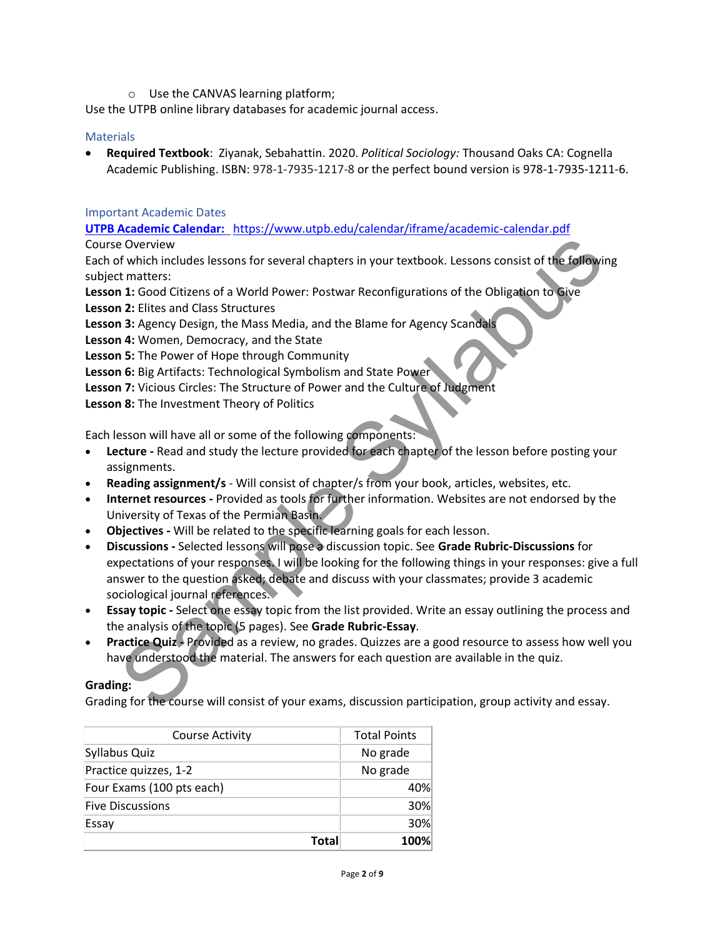o Use the CANVAS learning platform;

Use the UTPB online library databases for academic journal access.

### **Materials**

• **Required Textbook**: Ziyanak, Sebahattin. 2020. *Political Sociology:* Thousand Oaks CA: Cognella Academic Publishing. ISBN: 978-1-7935-1217-8 or the perfect bound version is 978-1-7935-1211-6.

### Important Academic Dates

**[UTPB Academic Calendar:](../../../../../ziyanak_s/Desktop/UTPB/Utpb%20Syllabus%20%202016%20&%202017&2018&2019/Spr%202020/UTPB%20Academic%20Calendar:)** <https://www.utpb.edu/calendar/iframe/academic-calendar.pdf>

Course Overview

Each of which includes lessons for several chapters in your textbook. Lessons consist of the following subject matters:

**Lesson 1:** Good Citizens of a World Power: Postwar Reconfigurations of the Obligation to Give

**Lesson 2:** Elites and Class Structures

Lesson 3: Agency Design, the Mass Media, and the Blame for Agency Scandals

**Lesson 4:** Women, Democracy, and the State

**Lesson 5:** The Power of Hope through Community

**Lesson 6:** Big Artifacts: Technological Symbolism and State Power

**Lesson 7:** Vicious Circles: The Structure of Power and the Culture of Judgment

**Lesson 8:** The Investment Theory of Politics

Each lesson will have all or some of the following components:

- **Lecture -** Read and study the lecture provided for each chapter of the lesson before posting your assignments.
- **Reading assignment/s** Will consist of chapter/s from your book, articles, websites, etc.
- **Internet resources -** Provided as tools for further information. Websites are not endorsed by the University of Texas of the Permian Basin.
- **Objectives -** Will be related to the specific learning goals for each lesson.
- **Discussions -** Selected lessons will pose a discussion topic. See **Grade Rubric-Discussions** for expectations of your responses. I will be looking for the following things in your responses: give a full answer to the question asked; debate and discuss with your classmates; provide 3 academic sociological journal references. e Overview<br>
of which includes lessons for several chapters in your textbook. Lessons consist of the followir<br>
of matters:<br>
1: Good Citize and G Row Women: Postwar Reconfigurations of the Obligation to Give<br>
1: Elities and
- **Essay topic -** Select one essay topic from the list provided. Write an essay outlining the process and the analysis of the topic (5 pages). See **Grade Rubric-Essay**.
- **Practice Quiz -** Provided as a review, no grades. Quizzes are a good resource to assess how well you have understood the material. The answers for each question are available in the quiz.

# **Grading:**

Grading for the course will consist of your exams, discussion participation, group activity and essay.

| <b>Course Activity</b>    | <b>Total Points</b> |
|---------------------------|---------------------|
| Syllabus Quiz             | No grade            |
| Practice quizzes, 1-2     | No grade            |
| Four Exams (100 pts each) | 40%                 |
| <b>Five Discussions</b>   | 30%                 |
| Essay                     | 30%                 |
| Total                     | 100%                |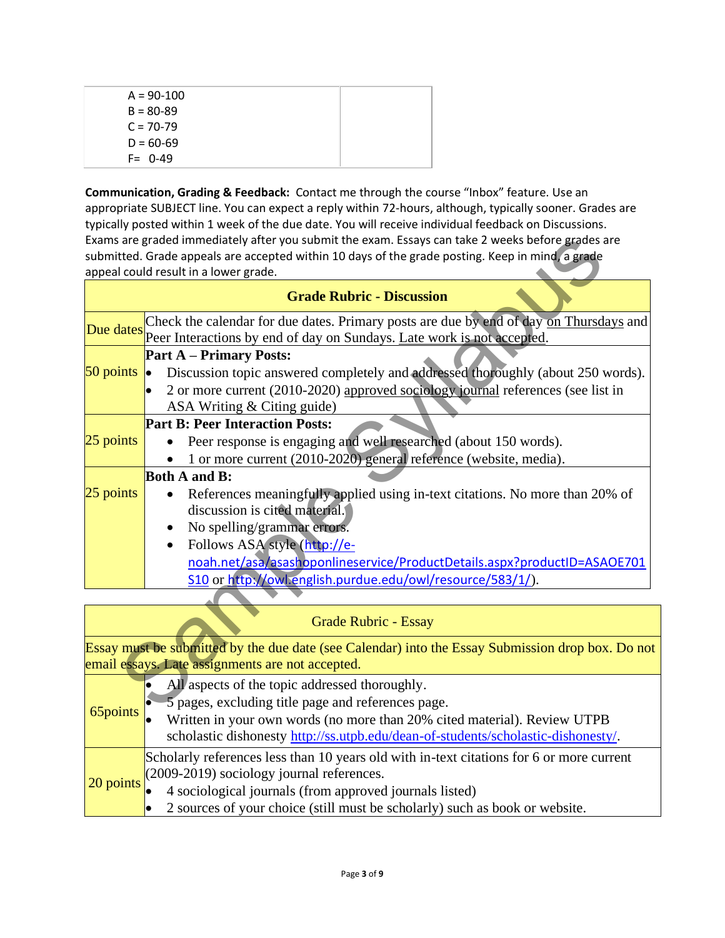| $A = 90-100$  |  |
|---------------|--|
| $B = 80 - 89$ |  |
| $C = 70-79$   |  |
| $D = 60-69$   |  |
| $F = 0-49$    |  |

**Communication, Grading & Feedback:** Contact me through the course "Inbox" feature. Use an appropriate SUBJECT line. You can expect a reply within 72-hours, although, typically sooner. Grades are typically posted within 1 week of the due date. You will receive individual feedback on Discussions. Exams are graded immediately after you submit the exam. Essays can take 2 weeks before grades are submitted. Grade appeals are accepted within 10 days of the grade posting. Keep in mind, a grade appeal could result in a lower grade.

|                                                | Exams are graded immediately after you submit the exam. Essays can take 2 weeks before grades are                                                                |  |  |  |
|------------------------------------------------|------------------------------------------------------------------------------------------------------------------------------------------------------------------|--|--|--|
|                                                | submitted. Grade appeals are accepted within 10 days of the grade posting. Keep in mind, a grade                                                                 |  |  |  |
|                                                | appeal could result in a lower grade.                                                                                                                            |  |  |  |
|                                                | <b>Grade Rubric - Discussion</b>                                                                                                                                 |  |  |  |
| Due dates                                      | Check the calendar for due dates. Primary posts are due by end of day on Thursdays and<br>Peer Interactions by end of day on Sundays. Late work is not accepted. |  |  |  |
|                                                | <b>Part A – Primary Posts:</b>                                                                                                                                   |  |  |  |
| 50 points                                      | Discussion topic answered completely and addressed thoroughly (about 250 words).<br>$\bullet$                                                                    |  |  |  |
|                                                | 2 or more current (2010-2020) approved sociology journal references (see list in                                                                                 |  |  |  |
|                                                | ASA Writing & Citing guide)                                                                                                                                      |  |  |  |
|                                                | <b>Part B: Peer Interaction Posts:</b>                                                                                                                           |  |  |  |
| 25 points                                      | Peer response is engaging and well researched (about 150 words).                                                                                                 |  |  |  |
|                                                | 1 or more current (2010-2020) general reference (website, media).                                                                                                |  |  |  |
|                                                | <b>Both A and B:</b>                                                                                                                                             |  |  |  |
| $25$ points                                    | References meaningfully applied using in-text citations. No more than 20% of                                                                                     |  |  |  |
|                                                | discussion is cited material.                                                                                                                                    |  |  |  |
|                                                | No spelling/grammar errors.                                                                                                                                      |  |  |  |
|                                                | Follows ASA style (http://e-<br>٠                                                                                                                                |  |  |  |
|                                                | noah.net/asa/asashoponlineservice/ProductDetails.aspx?productID=ASAOE701                                                                                         |  |  |  |
|                                                | S10 or http://owl.english.purdue.edu/owl/resource/583/1/).                                                                                                       |  |  |  |
|                                                |                                                                                                                                                                  |  |  |  |
|                                                | <b>Grade Rubric - Essay</b>                                                                                                                                      |  |  |  |
|                                                |                                                                                                                                                                  |  |  |  |
|                                                | Essay must be submitted by the due date (see Calendar) into the Essay Submission drop box. Do not                                                                |  |  |  |
|                                                | email essays. Late assignments are not accepted.                                                                                                                 |  |  |  |
| All aspects of the topic addressed thoroughly. |                                                                                                                                                                  |  |  |  |
| $65$ nointe                                    | 5 pages, excluding title page and references page.                                                                                                               |  |  |  |

# Grade Rubric - Essay

| 65points | All aspects of the topic addressed thoroughly.<br>5 pages, excluding title page and references page.<br>Written in your own words (no more than 20% cited material). Review UTPB<br>scholastic dishonesty http://ss.utpb.edu/dean-of-students/scholastic-dishonesty/.                                         |
|----------|---------------------------------------------------------------------------------------------------------------------------------------------------------------------------------------------------------------------------------------------------------------------------------------------------------------|
|          | Scholarly references less than 10 years old with in-text citations for 6 or more current<br>$\frac{1}{20}$ points $(2009-2019)$ sociology journal references.<br>4 sociological journals (from approved journals listed)<br>2 sources of your choice (still must be scholarly) such as book or website.<br>lo |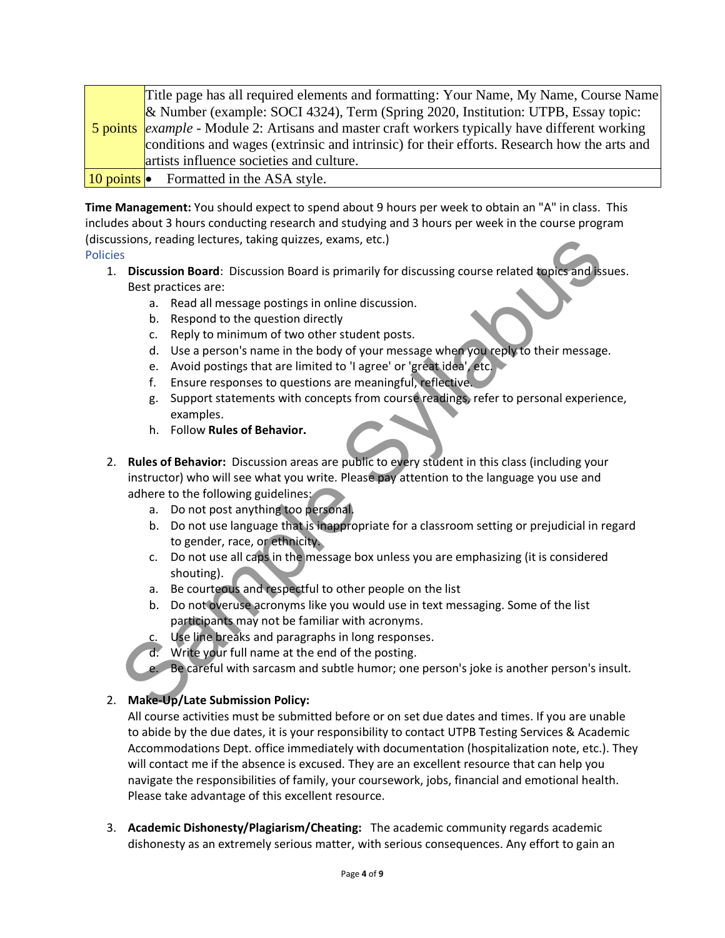|  | Title page has all required elements and formatting: Your Name, My Name, Course Name                          |
|--|---------------------------------------------------------------------------------------------------------------|
|  | $\&$ Number (example: SOCI 4324), Term (Spring 2020, Institution: UTPB, Essay topic:                          |
|  | <b>5 points</b> <i>example</i> - Module 2: Artisans and master craft workers typically have different working |
|  | conditions and wages (extrinsic and intrinsic) for their efforts. Research how the arts and                   |
|  | artists influence societies and culture.                                                                      |
|  | 10 points $\bullet$ Formatted in the ASA style.                                                               |

**Time Management:** You should expect to spend about 9 hours per week to obtain an "A" in class. This includes about 3 hours conducting research and studying and 3 hours per week in the course program (discussions, reading lectures, taking quizzes, exams, etc.)

Policies

- 1. **Discussion Board**: Discussion Board is primarily for discussing course related topics and issues. Best practices are:
	- a. Read all message postings in online discussion.
	- b. Respond to the question directly
	- c. Reply to minimum of two other student posts.
	- d. Use a person's name in the body of your message when you reply to their message.
	- e. Avoid postings that are limited to 'I agree' or 'great idea', etc.
	- f. Ensure responses to questions are meaningful, reflective.
	- g. Support statements with concepts from course readings, refer to personal experience, examples.
	- h. Follow **Rules of Behavior.**
- 2. **Rules of Behavior:** Discussion areas are public to every student in this class (including your instructor) who will see what you write. Please pay attention to the language you use and adhere to the following guidelines: Sisterian (and the state of Behavior: Discussion Board is primarily for discussing course related topics and is<br>
Best packing course are:<br>
Discussion Board: Discussion Board is primarily for discussion, course related topi
	- a. Do not post anything too personal.
	- b. Do not use language that is inappropriate for a classroom setting or prejudicial in regard to gender, race, or ethnicity.
	- c. Do not use all caps in the message box unless you are emphasizing (it is considered shouting).
	- a. Be courteous and respectful to other people on the list
	- b. Do not overuse acronyms like you would use in text messaging. Some of the list participants may not be familiar with acronyms.
	- c. Use line breaks and paragraphs in long responses.
	- d. Write your full name at the end of the posting.
	- e. Be careful with sarcasm and subtle humor; one person's joke is another person's insult.

# 2. **Make-Up/Late Submission Policy:**

All course activities must be submitted before or on set due dates and times. If you are unable to abide by the due dates, it is your responsibility to contact UTPB Testing Services & Academic Accommodations Dept. office immediately with documentation (hospitalization note, etc.). They will contact me if the absence is excused. They are an excellent resource that can help you navigate the responsibilities of family, your coursework, jobs, financial and emotional health. Please take advantage of this excellent resource.

3. **Academic Dishonesty/Plagiarism/Cheating:** The academic community regards academic dishonesty as an extremely serious matter, with serious consequences. Any effort to gain an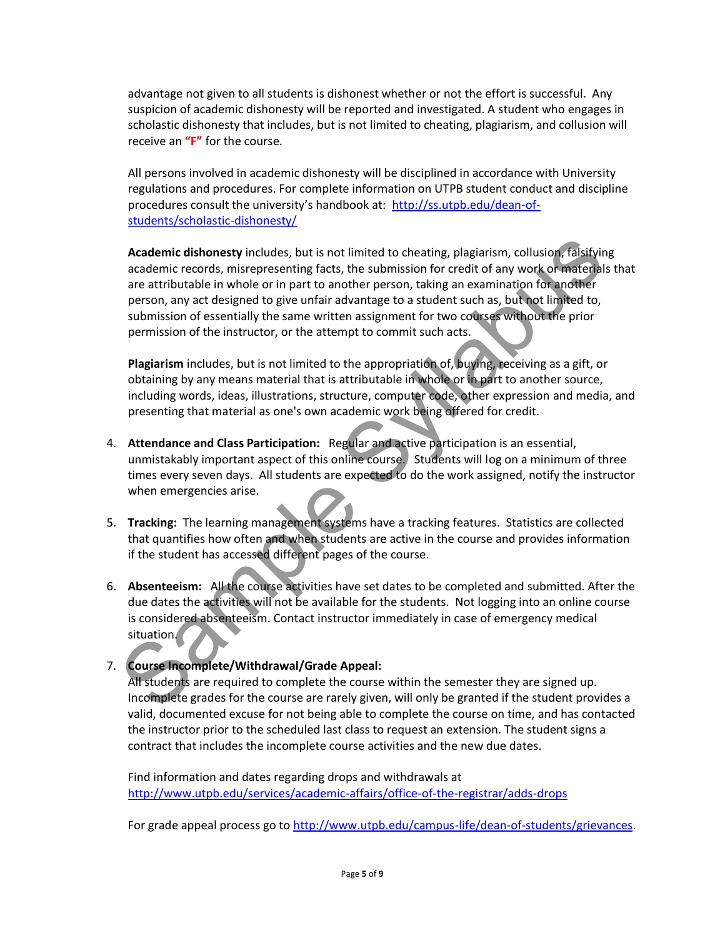advantage not given to all students is dishonest whether or not the effort is successful. Any suspicion of academic dishonesty will be reported and investigated. A student who engages in scholastic dishonesty that includes, but is not limited to cheating, plagiarism, and collusion will receive an **"F"** for the course.

All persons involved in academic dishonesty will be disciplined in accordance with University regulations and procedures. For complete information on UTPB student conduct and discipline procedures consult the university's handbook at: [http://ss.utpb.edu/dean-of](http://ss.utpb.edu/dean-of-students/scholastic-dishonesty/)[students/scholastic-dishonesty/](http://ss.utpb.edu/dean-of-students/scholastic-dishonesty/)

**Academic dishonesty** includes, but is not limited to cheating, plagiarism, collusion, falsifying academic records, misrepresenting facts, the submission for credit of any work or materials that are attributable in whole or in part to another person, taking an examination for another person, any act designed to give unfair advantage to a student such as, but not limited to, submission of essentially the same written assignment for two courses without the prior permission of the instructor, or the attempt to commit such acts. Academic di[s](http://ss.utpb.edu/dean-of-students/scholastic-dishonesty/)honesty includes, but is not limited to cheating, plagiarism, collusion, falsifyite academic records, misrepresenting facts, the submission for credit of any work or materal are attributable in whole or in part

**Plagiarism** includes, but is not limited to the appropriation of, buying, receiving as a gift, or obtaining by any means material that is attributable in whole or in part to another source, including words, ideas, illustrations, structure, computer code, other expression and media, and presenting that material as one's own academic work being offered for credit.

- 4. **Attendance and Class Participation:** Regular and active participation is an essential, unmistakably important aspect of this online course. Students will log on a minimum of three times every seven days. All students are expected to do the work assigned, notify the instructor when emergencies arise.
- 5. **Tracking:** The learning management systems have a tracking features. Statistics are collected that quantifies how often and when students are active in the course and provides information if the student has accessed different pages of the course.
- 6. **Absenteeism:** All the course activities have set dates to be completed and submitted. After the due dates the activities will not be available for the students. Not logging into an online course is considered absenteeism. Contact instructor immediately in case of emergency medical situation.
- 7. **Course Incomplete/Withdrawal/Grade Appeal:**

All students are required to complete the course within the semester they are signed up. Incomplete grades for the course are rarely given, will only be granted if the student provides a valid, documented excuse for not being able to complete the course on time, and has contacted the instructor prior to the scheduled last class to request an extension. The student signs a contract that includes the incomplete course activities and the new due dates.

Find information and dates regarding drops and withdrawals at <http://www.utpb.edu/services/academic-affairs/office-of-the-registrar/adds-drops>

For grade appeal process go to [http://www.utpb.edu/campus-life/dean-of-students/grievances.](http://www.utpb.edu/campus-life/dean-of-students/grievances)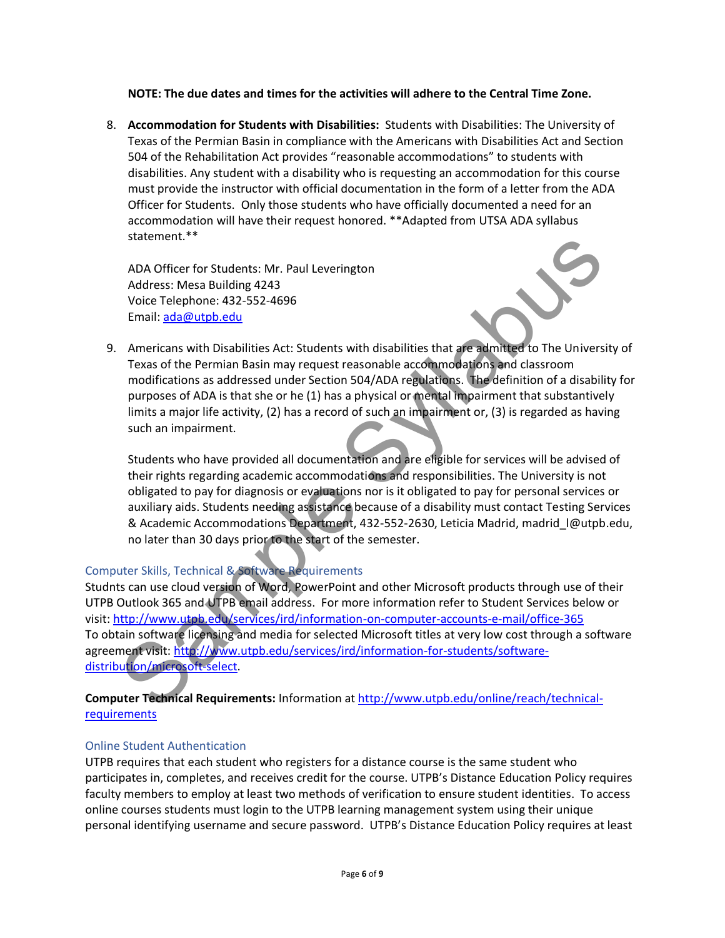#### **NOTE: The due dates and times for the activities will adhere to the Central Time Zone.**

8. **Accommodation for Students with Disabilities:** Students with Disabilities: The University of Texas of the Permian Basin in compliance with the Americans with Disabilities Act and Section 504 of the Rehabilitation Act provides "reasonable accommodations" to students with disabilities. Any student with a disability who is requesting an accommodation for this course must provide the instructor with official documentation in the form of a letter from the ADA Officer for Students. Only those students who have officially documented a need for an accommodation will have their request honored. \*\*Adapted from UTSA ADA syllabus statement.\*\*

ADA Officer for Students: Mr. Paul Leverington Address: Mesa Building 4243 Voice Telephone: 432-552-4696 Email: ada@utpb.edu



9. Americans with Disabilities Act: Students with disabilities that are admitted to The University of Texas of the Permian Basin may request reasonable accommodations and classroom modifications as addressed under Section 504/ADA regulations. The definition of a disability for purposes of ADA is that she or he (1) has a physical or mental impairment that substantively limits a major life activity, (2) has a record of such an impairment or, (3) is regarded as having such an impairment.

Students who have provided all documentation and are eligible for services will be advised of their rights regarding academic accommodations and responsibilities. The University is not obligated to pay for diagnosis or evaluations nor is it obligated to pay for personal services or auxiliary aids. Students needing assistance because of a disability must contact Testing Services & Academic Accommodations Department, 432-552-2630, Leticia Madrid, [madrid\\_l@utpb.edu,](mailto:madrid_l@utpb.edu) no later than 30 days prior to the start of the semester.

# Computer Skills, Technical & Software Requirements

Studnts can use cloud version of Word, PowerPoint and other Microsoft products through use of their UTPB Outlook 365 and UTPB email address. For more information refer to Student Services below or visit: http://www.utpb.edu/services/ird/information-on-computer-accounts-e-mail/office-365 To obtain software licensing and media for selected Microsoft titles at very low cost through a software agreement visit: http://www.utpb.edu/services/ird/information-for-students/software[distribution/microsoft-select.](http://www.utpb.edu/services/ird/information-for-students/software-distribution/microsoft-select) state[m](http://www.utpb.edu/services/ird/information-on-computer-accounts-e-mail/office-365)ent.<sup>25</sup><br>ADA Officer for Students: Mr. Paul Leverington<br>Address: Msea Building 4243<br>Voice Telephone: 432-552-4696<br>Email: <u>ada@utob.edu</u><br>Americans with Disabilities Act: Students with disabilities that are admitted to

**Computer Technical Requirements:** Information at http://www.utpb.edu/online/reach/technical[requirements](http://www.utpb.edu/online/reach/technical-requirements) 

# Online Student Authentication

UTPB requires that each student who registers for a distance course is the same student who participates in, completes, and receives credit for the course. UTPB's Distance Education Policy requires faculty members to employ at least two methods of verification to ensure student identities. To access online courses students must login to the UTPB learning management system using their unique personal identifying username and secure password. UTPB's Distance Education Policy requires at least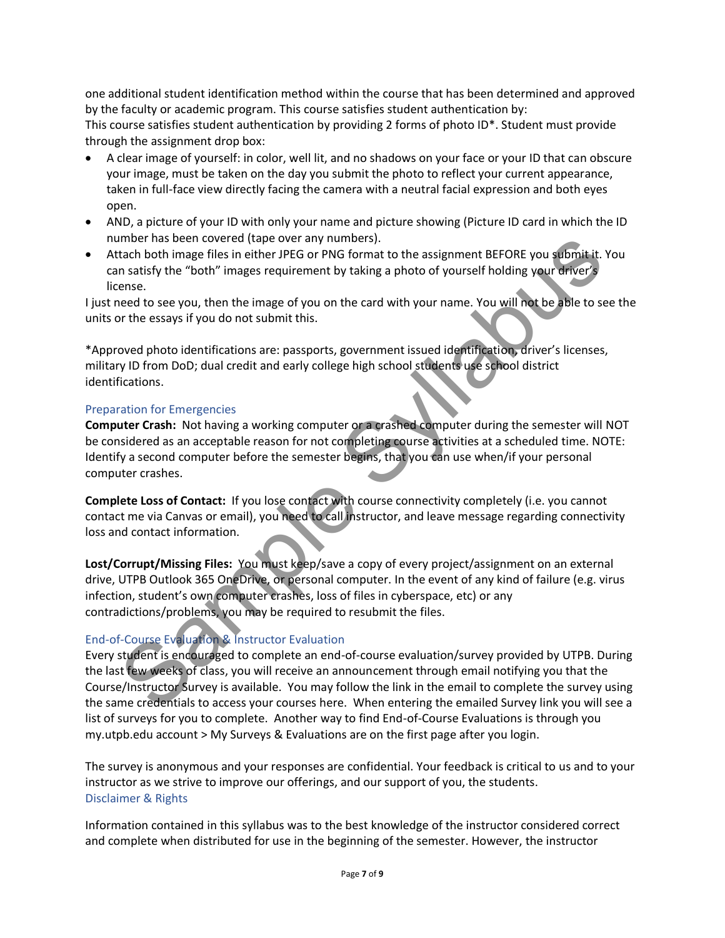one additional student identification method within the course that has been determined and approved by the faculty or academic program. This course satisfies student authentication by: This course satisfies student authentication by providing 2 forms of photo ID\*. Student must provide through the assignment drop box:

- A clear image of yourself: in color, well lit, and no shadows on your face or your ID that can obscure your image, must be taken on the day you submit the photo to reflect your current appearance, taken in full-face view directly facing the camera with a neutral facial expression and both eyes open.
- AND, a picture of your ID with only your name and picture showing (Picture ID card in which the ID number has been covered (tape over any numbers).
- Attach both image files in either JPEG or PNG format to the assignment BEFORE you submit it. You can satisfy the "both" images requirement by taking a photo of yourself holding your driver's license.

I just need to see you, then the image of you on the card with your name. You will not be able to see the units or the essays if you do not submit this.

\*Approved photo identifications are: passports, government issued identification, driver's licenses, military ID from DoD; dual credit and early college high school students use school district identifications.

#### Preparation for Emergencies

**Computer Crash:** Not having a working computer or a crashed computer during the semester will NOT be considered as an acceptable reason for not completing course activities at a scheduled time. NOTE: Identify a second computer before the semester begins, that you can use when/if your personal computer crashes.

**Complete Loss of Contact:** If you lose contact with course connectivity completely (i.e. you cannot contact me via Canvas or email), you need to call instructor, and leave message regarding connectivity loss and contact information.

**Lost/Corrupt/Missing Files:** You must keep/save a copy of every project/assignment on an external drive, UTPB Outlook 365 OneDrive, or personal computer. In the event of any kind of failure (e.g. virus infection, student's own computer crashes, loss of files in cyberspace, etc) or any contradictions/problems, you may be required to resubmit the files.

# End-of-Course Evaluation & Instructor Evaluation

Every student is encouraged to complete an end-of-course evaluation/survey provided by UTPB. During the last few weeks of class, you will receive an announcement through email notifying you that the Course/Instructor Survey is available. You may follow the link in the email to complete the survey using the same credentials to access your courses here. When entering the emailed Survey link you will see a list of surveys for you to complete. Another way to find End-of-Course Evaluations is through you my.utpb.edu account > My Surveys & Evaluations are on the first page after you login. moner has been covered (tape over any numbers).<br>The detailed both image files in either JPEG or PNG format to the assignment BEFORE you submit it:<br>In satisfy the "both" images requirement by traing a photo of yourself hold

The survey is anonymous and your responses are confidential. Your feedback is critical to us and to your instructor as we strive to improve our offerings, and our support of you, the students. Disclaimer & Rights

Information contained in this syllabus was to the best knowledge of the instructor considered correct and complete when distributed for use in the beginning of the semester. However, the instructor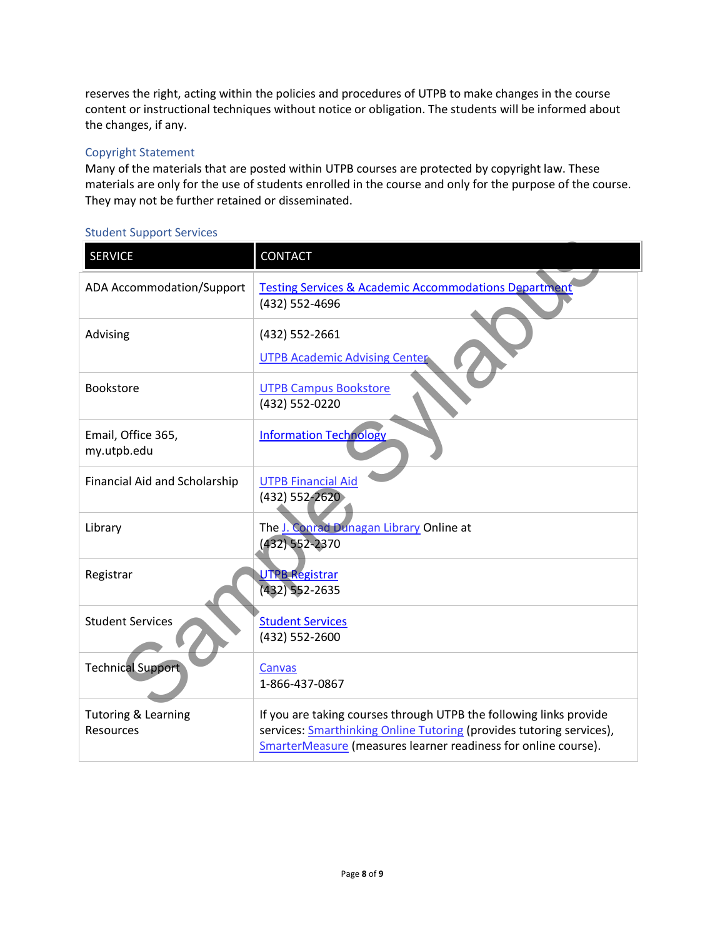reserves the right, acting within the policies and procedures of UTPB to make changes in the course content or instructional techniques without notice or obligation. The students will be informed about the changes, if any.

## Copyright Statement

Many of the materials that are posted within UTPB courses are protected by copyright law. These materials are only for the use of students enrolled in the course and only for the purpose of the course. They may not be further retained or disseminated.

### Student Support Services

| <b>SERVICE</b>                              | CONTACT                                                                                                                                                                                                      |
|---------------------------------------------|--------------------------------------------------------------------------------------------------------------------------------------------------------------------------------------------------------------|
| ADA Accommodation/Support                   | <b>Testing Services &amp; Academic Accommodations Department</b><br>(432) 552-4696                                                                                                                           |
| Advising                                    | (432) 552-2661<br><b>UTPB Academic Advising Center</b>                                                                                                                                                       |
| Bookstore                                   | <b>UTPB Campus Bookstore</b><br>(432) 552-0220                                                                                                                                                               |
| Email, Office 365,<br>my.utpb.edu           | <b>Information Technology</b>                                                                                                                                                                                |
| Financial Aid and Scholarship               | <b>UTPB Financial Aid</b><br>(432) 552-2620                                                                                                                                                                  |
| Library                                     | The J. Conrad Dunagan Library Online at<br>(432) 552-2370                                                                                                                                                    |
| Registrar                                   | <b>UTPB Registrar</b><br>$(432)$ 552-2635                                                                                                                                                                    |
| <b>Student Services</b>                     | <b>Student Services</b><br>(432) 552-2600                                                                                                                                                                    |
| <b>Technical Support</b>                    | <b>Canvas</b><br>1-866-437-0867                                                                                                                                                                              |
| <b>Tutoring &amp; Learning</b><br>Resources | If you are taking courses through UTPB the following links provide<br>services: Smarthinking Online Tutoring (provides tutoring services),<br>SmarterMeasure (measures learner readiness for online course). |